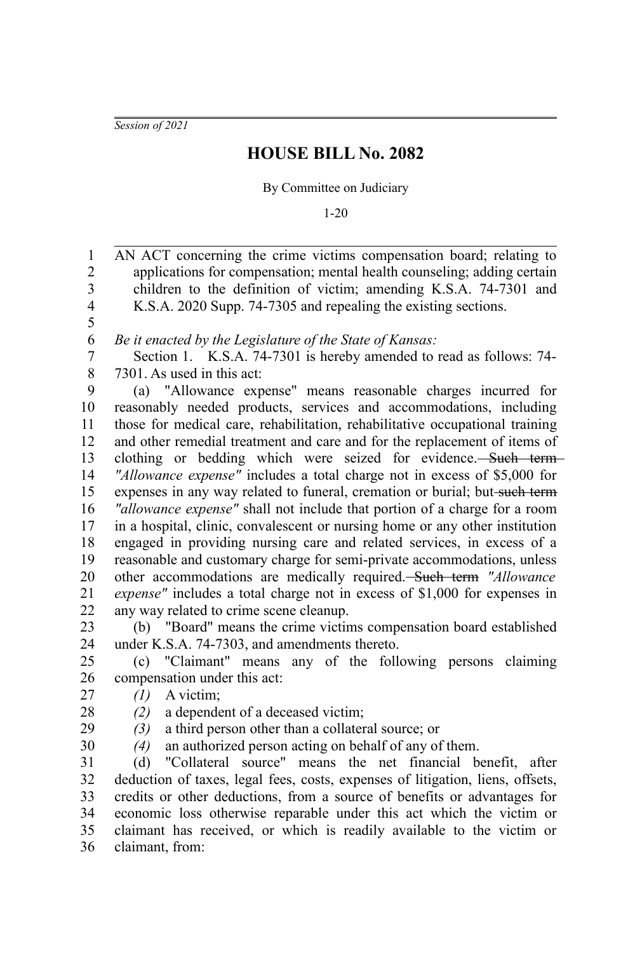*Session of 2021*

## **HOUSE BILL No. 2082**

By Committee on Judiciary

1-20

AN ACT concerning the crime victims compensation board; relating to applications for compensation; mental health counseling; adding certain children to the definition of victim; amending K.S.A. 74-7301 and K.S.A. 2020 Supp. 74-7305 and repealing the existing sections. *Be it enacted by the Legislature of the State of Kansas:* Section 1. K.S.A. 74-7301 is hereby amended to read as follows: 74- 7301. As used in this act: (a) "Allowance expense" means reasonable charges incurred for reasonably needed products, services and accommodations, including those for medical care, rehabilitation, rehabilitative occupational training and other remedial treatment and care and for the replacement of items of clothing or bedding which were seized for evidence. Such term-*"Allowance expense"* includes a total charge not in excess of \$5,000 for expenses in any way related to funeral, cremation or burial; but-such term *"allowance expense"* shall not include that portion of a charge for a room in a hospital, clinic, convalescent or nursing home or any other institution engaged in providing nursing care and related services, in excess of a reasonable and customary charge for semi-private accommodations, unless other accommodations are medically required. Such term *"Allowance expense"* includes a total charge not in excess of \$1,000 for expenses in any way related to crime scene cleanup. (b) "Board" means the crime victims compensation board established under K.S.A. 74-7303, and amendments thereto. (c) "Claimant" means any of the following persons claiming compensation under this act: *(1)* A victim; *(2)* a dependent of a deceased victim; *(3)* a third person other than a collateral source; or *(4)* an authorized person acting on behalf of any of them. (d) "Collateral source" means the net financial benefit, after deduction of taxes, legal fees, costs, expenses of litigation, liens, offsets, credits or other deductions, from a source of benefits or advantages for economic loss otherwise reparable under this act which the victim or claimant has received, or which is readily available to the victim or 1 2 3 4 5 6 7 8 9 10 11 12 13 14 15 16 17 18 19 20 21 22 23 24 25 26 27 28 29 30 31 32 33 34 35

claimant, from: 36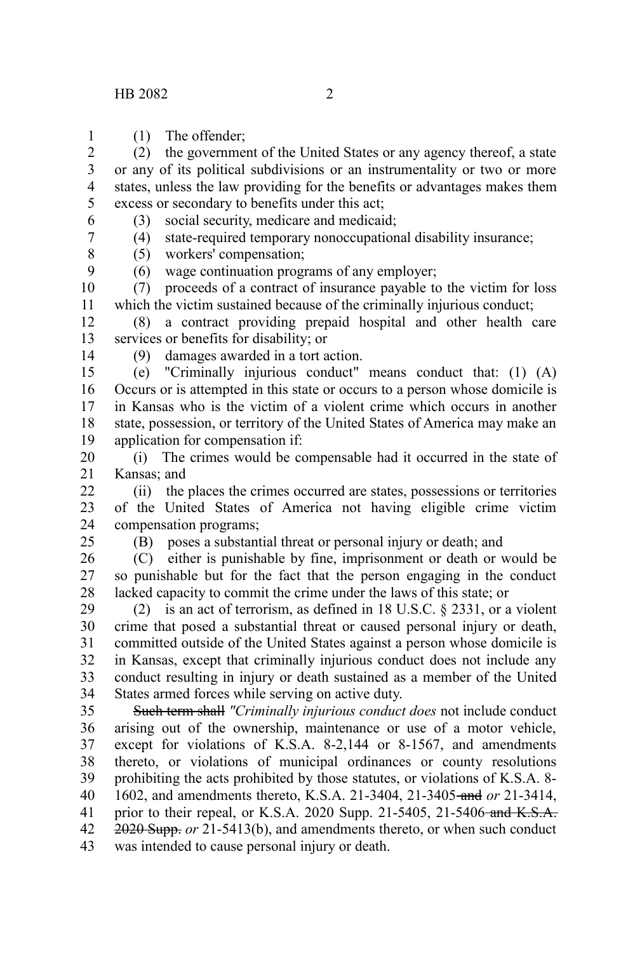(1) The offender; 1

(2) the government of the United States or any agency thereof, a state or any of its political subdivisions or an instrumentality or two or more states, unless the law providing for the benefits or advantages makes them excess or secondary to benefits under this act; 2 3 4 5

(3) social security, medicare and medicaid;

(4) state-required temporary nonoccupational disability insurance;

(5) workers' compensation;

(6) wage continuation programs of any employer;

(7) proceeds of a contract of insurance payable to the victim for loss which the victim sustained because of the criminally injurious conduct; 10 11

(8) a contract providing prepaid hospital and other health care services or benefits for disability; or 12 13

14

25

(9) damages awarded in a tort action.

(e) "Criminally injurious conduct" means conduct that: (1) (A) Occurs or is attempted in this state or occurs to a person whose domicile is in Kansas who is the victim of a violent crime which occurs in another state, possession, or territory of the United States of America may make an application for compensation if: 15 16 17 18 19

(i) The crimes would be compensable had it occurred in the state of Kansas; and 20 21

(ii) the places the crimes occurred are states, possessions or territories of the United States of America not having eligible crime victim compensation programs;  $22$ 23 24

(B) poses a substantial threat or personal injury or death; and

(C) either is punishable by fine, imprisonment or death or would be so punishable but for the fact that the person engaging in the conduct lacked capacity to commit the crime under the laws of this state; or 26 27 28

(2) is an act of terrorism, as defined in 18 U.S.C. § 2331, or a violent crime that posed a substantial threat or caused personal injury or death, committed outside of the United States against a person whose domicile is in Kansas, except that criminally injurious conduct does not include any conduct resulting in injury or death sustained as a member of the United States armed forces while serving on active duty. 29 30 31 32 33 34

Such term shall *"Criminally injurious conduct does* not include conduct arising out of the ownership, maintenance or use of a motor vehicle, except for violations of K.S.A. 8-2,144 or 8-1567, and amendments thereto, or violations of municipal ordinances or county resolutions prohibiting the acts prohibited by those statutes, or violations of K.S.A. 8- 1602, and amendments thereto, K.S.A. 21-3404, 21-3405 and *or* 21-3414, prior to their repeal, or K.S.A. 2020 Supp. 21-5405, 21-5406-and  $K.S.A.$ 2020 Supp. *or* 21-5413(b), and amendments thereto, or when such conduct was intended to cause personal injury or death. 35 36 37 38 39 40 41 42 43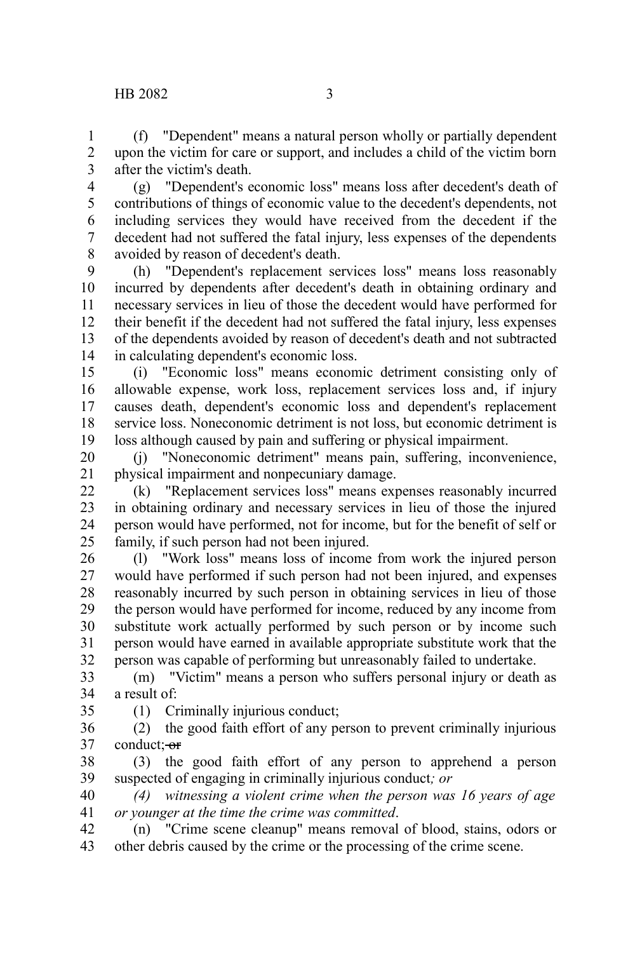(f) "Dependent" means a natural person wholly or partially dependent upon the victim for care or support, and includes a child of the victim born after the victim's death. 1 2 3

(g) "Dependent's economic loss" means loss after decedent's death of contributions of things of economic value to the decedent's dependents, not including services they would have received from the decedent if the decedent had not suffered the fatal injury, less expenses of the dependents avoided by reason of decedent's death. 4 5 6 7 8

(h) "Dependent's replacement services loss" means loss reasonably incurred by dependents after decedent's death in obtaining ordinary and necessary services in lieu of those the decedent would have performed for their benefit if the decedent had not suffered the fatal injury, less expenses of the dependents avoided by reason of decedent's death and not subtracted in calculating dependent's economic loss. 9 10 11 12 13 14

(i) "Economic loss" means economic detriment consisting only of allowable expense, work loss, replacement services loss and, if injury causes death, dependent's economic loss and dependent's replacement service loss. Noneconomic detriment is not loss, but economic detriment is loss although caused by pain and suffering or physical impairment. 15 16 17 18 19

(j) "Noneconomic detriment" means pain, suffering, inconvenience, physical impairment and nonpecuniary damage. 20 21

(k) "Replacement services loss" means expenses reasonably incurred in obtaining ordinary and necessary services in lieu of those the injured person would have performed, not for income, but for the benefit of self or family, if such person had not been injured. 22 23 24 25

(l) "Work loss" means loss of income from work the injured person would have performed if such person had not been injured, and expenses reasonably incurred by such person in obtaining services in lieu of those the person would have performed for income, reduced by any income from substitute work actually performed by such person or by income such person would have earned in available appropriate substitute work that the person was capable of performing but unreasonably failed to undertake. 26 27 28 29 30 31 32

(m) "Victim" means a person who suffers personal injury or death as a result of: 33 34

35

(1) Criminally injurious conduct;

(2) the good faith effort of any person to prevent criminally injurious conduct: or 36 37

(3) the good faith effort of any person to apprehend a person suspected of engaging in criminally injurious conduct*; or*  38 39

*(4) witnessing a violent crime when the person was 16 years of age or younger at the time the crime was committed*. 40 41

(n) "Crime scene cleanup" means removal of blood, stains, odors or other debris caused by the crime or the processing of the crime scene. 42 43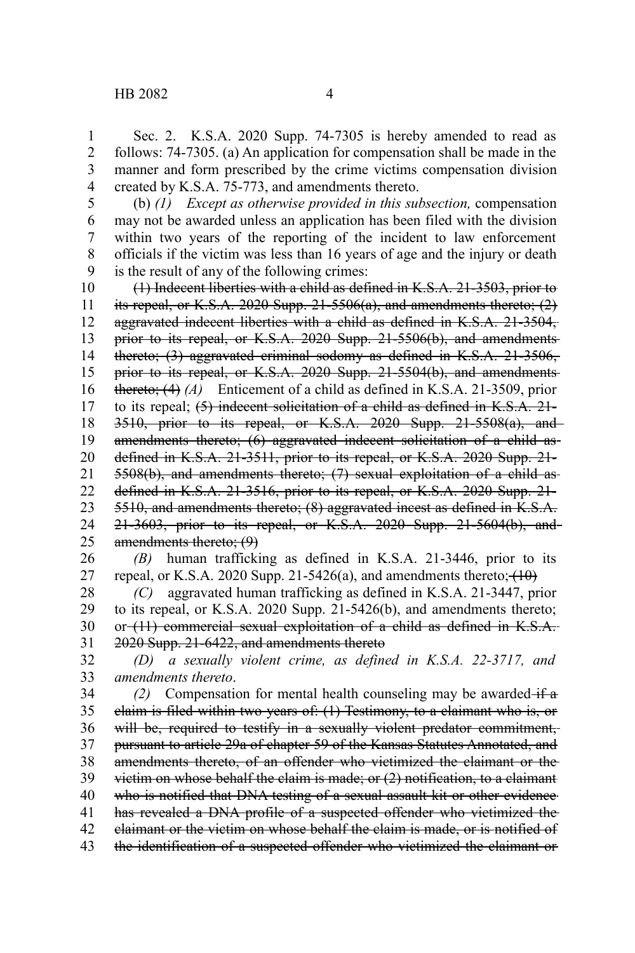Sec. 2. K.S.A. 2020 Supp. 74-7305 is hereby amended to read as follows: 74-7305. (a) An application for compensation shall be made in the manner and form prescribed by the crime victims compensation division created by K.S.A. 75-773, and amendments thereto. 1 2 3 4

(b) *(1) Except as otherwise provided in this subsection,* compensation may not be awarded unless an application has been filed with the division within two years of the reporting of the incident to law enforcement officials if the victim was less than 16 years of age and the injury or death is the result of any of the following crimes: 5 6 7 8 9

(1) Indecent liberties with a child as defined in K.S.A. 21-3503, prior to its repeal, or K.S.A. 2020 Supp.  $21-5506(a)$ , and amendments thereto;  $(2)$ aggravated indecent liberties with a child as defined in K.S.A. 21-3504, prior to its repeal, or K.S.A. 2020 Supp. 21-5506(b), and amendments thereto; (3) aggravated criminal sodomy as defined in K.S.A. 21-3506, prior to its repeal, or K.S.A. 2020 Supp. 21-5504(b), and amendments thereto; (4) *(A)* Enticement of a child as defined in K.S.A. 21-3509, prior to its repeal; (5) indecent solicitation of a child as defined in K.S.A. 21- 3510, prior to its repeal, or K.S.A. 2020 Supp. 21-5508(a), and amendments thereto; (6) aggravated indecent solicitation of a child asdefined in K.S.A. 21-3511, prior to its repeal, or K.S.A. 2020 Supp. 21- 5508(b), and amendments thereto; (7) sexual exploitation of a child as defined in K.S.A. 21-3516, prior to its repeal, or K.S.A. 2020 Supp. 21- 5510, and amendments thereto; (8) aggravated incest as defined in K.S.A. 21-3603, prior to its repeal, or K.S.A. 2020 Supp. 21-5604(b), and amendments thereto; (9) 10 11 12 13 14 15 16 17 18 19 20 21 22 23 24 25

*(B)* human trafficking as defined in K.S.A. 21-3446, prior to its repeal, or K.S.A. 2020 Supp. 21-5426(a), and amendments thereto;  $(10)$ 26 27

*(C)* aggravated human trafficking as defined in K.S.A. 21-3447, prior to its repeal, or K.S.A. 2020 Supp. 21-5426(b), and amendments thereto; or (11) commercial sexual exploitation of a child as defined in K.S.A. 2020 Supp. 21-6422, and amendments thereto 28 29 30 31

*(D) a sexually violent crime, as defined in K.S.A. 22-3717, and amendments thereto*. 32 33

*(2)* Compensation for mental health counseling may be awarded  $\overrightarrow{f}$  a claim is filed within two years of: (1) Testimony, to a claimant who is, or will be, required to testify in a sexually violent predator commitment, pursuant to article 29a of chapter 59 of the Kansas Statutes Annotated, and amendments thereto, of an offender who victimized the claimant or the victim on whose behalf the claim is made; or (2) notification, to a claimant who is notified that DNA testing of a sexual assault kit or other evidence has revealed a DNA profile of a suspected offender who victimized the claimant or the victim on whose behalf the claim is made, or is notified of the identification of a suspected offender who victimized the claimant or 34 35 36 37 38 39 40 41 42 43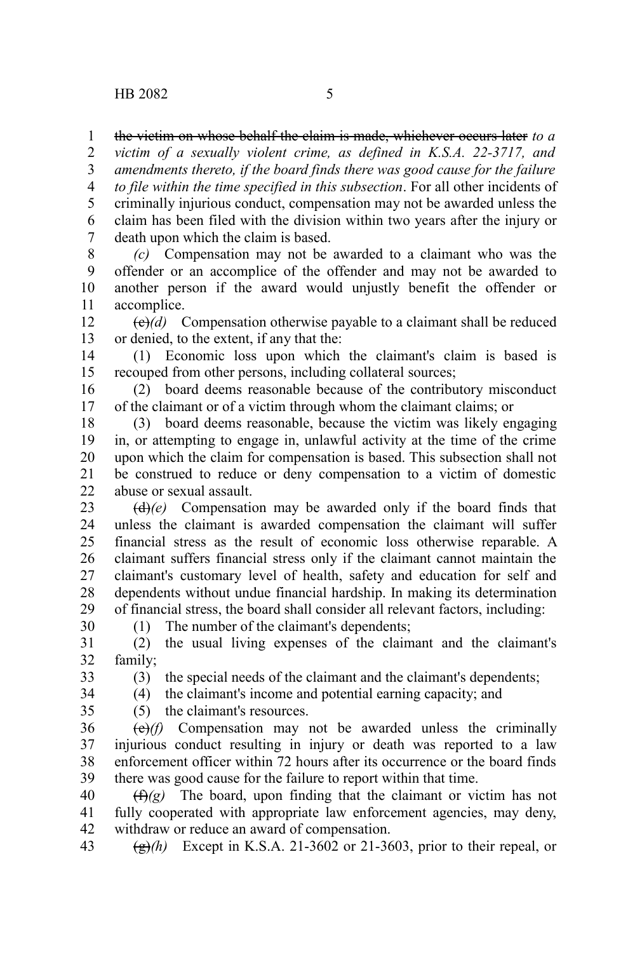the victim on whose behalf the claim is made, whichever occurs later *to a* 1

*victim of a sexually violent crime, as defined in K.S.A. 22-3717, and amendments thereto, if the board finds there was good cause for the failure to file within the time specified in this subsection*. For all other incidents of criminally injurious conduct, compensation may not be awarded unless the claim has been filed with the division within two years after the injury or death upon which the claim is based. 2 3 4 5 6 7

*(c)* Compensation may not be awarded to a claimant who was the offender or an accomplice of the offender and may not be awarded to another person if the award would unjustly benefit the offender or accomplice. 8 9 10 11

 $\left(\frac{e}{e}\right)$  Compensation otherwise payable to a claimant shall be reduced or denied, to the extent, if any that the: 12 13

(1) Economic loss upon which the claimant's claim is based is recouped from other persons, including collateral sources; 14 15

(2) board deems reasonable because of the contributory misconduct of the claimant or of a victim through whom the claimant claims; or 16 17

(3) board deems reasonable, because the victim was likely engaging in, or attempting to engage in, unlawful activity at the time of the crime upon which the claim for compensation is based. This subsection shall not be construed to reduce or deny compensation to a victim of domestic abuse or sexual assault. 18 19 20 21  $22$ 

(d)*(e)* Compensation may be awarded only if the board finds that unless the claimant is awarded compensation the claimant will suffer financial stress as the result of economic loss otherwise reparable. A claimant suffers financial stress only if the claimant cannot maintain the claimant's customary level of health, safety and education for self and dependents without undue financial hardship. In making its determination of financial stress, the board shall consider all relevant factors, including: 23 24 25 26 27 28 29

(1) The number of the claimant's dependents; 30

(2) the usual living expenses of the claimant and the claimant's family; 31 32

33 34 (3) the special needs of the claimant and the claimant's dependents;

(4) the claimant's income and potential earning capacity; and

35

(5) the claimant's resources.

(e)*(f)* Compensation may not be awarded unless the criminally injurious conduct resulting in injury or death was reported to a law enforcement officer within 72 hours after its occurrence or the board finds there was good cause for the failure to report within that time. 36 37 38 39

 $(f(x))$  The board, upon finding that the claimant or victim has not fully cooperated with appropriate law enforcement agencies, may deny, withdraw or reduce an award of compensation. 40 41 42

 $\left(\frac{g}{g}\right)$  Except in K.S.A. 21-3602 or 21-3603, prior to their repeal, or 43